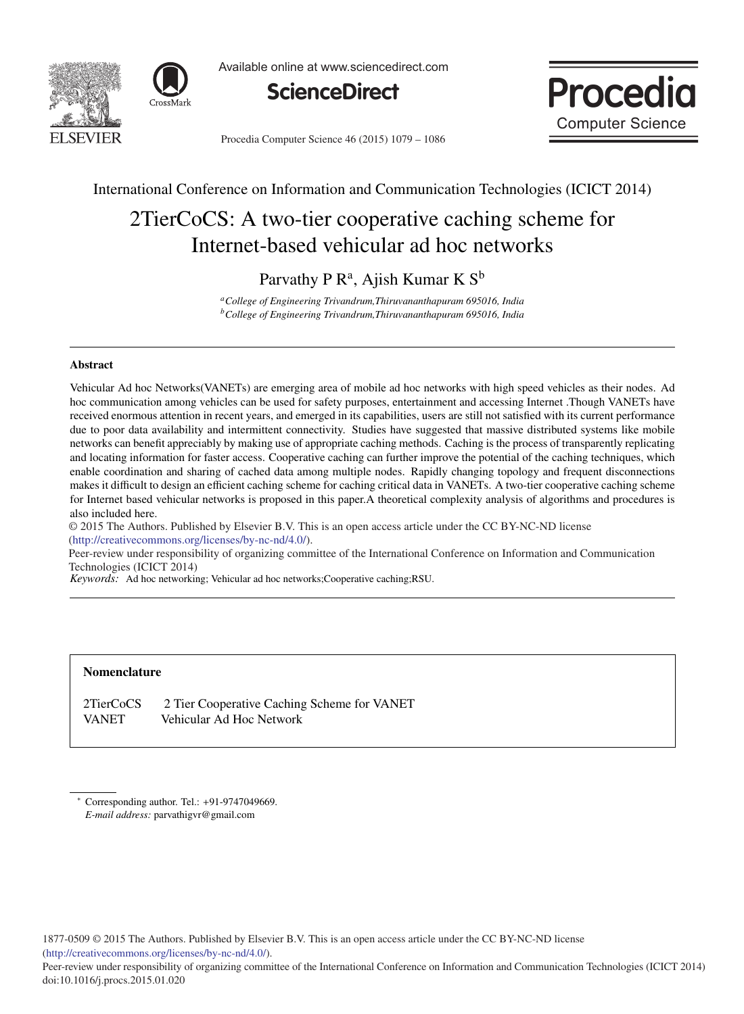



Available online at www.sciencedirect.com





Procedia Computer Science 46 (2015) 1079 - 1086

### International Conference on Information and Communication Technologies (ICICT 2014)

# 2TierCoCS: A two-tier cooperative caching scheme for Internet-based vehicular ad hoc networks

Parvathy P  $\mathbb{R}^a$ , Ajish Kumar K  $\mathbb{S}^b$ 

*aCollege of Engineering Trivandrum,Thiruvananthapuram 695016, India bCollege of Engineering Trivandrum,Thiruvananthapuram 695016, India*

### Abstract

Vehicular Ad hoc Networks(VANETs) are emerging area of mobile ad hoc networks with high speed vehicles as their nodes. Ad hoc communication among vehicles can be used for safety purposes, entertainment and accessing Internet .Though VANETs have received enormous attention in recent years, and emerged in its capabilities, users are still not satisfied with its current performance due to poor data availability and intermittent connectivity. Studies have suggested that massive distributed systems like mobile networks can benefit appreciably by making use of appropriate caching methods. Caching is the process of transparently replicating and locating information for faster access. Cooperative caching can further improve the potential of the caching techniques, which enable coordination and sharing of cached data among multiple nodes. Rapidly changing topology and frequent disconnections makes it difficult to design an efficient caching scheme for caching critical data in VANETs. A two-tier cooperative caching scheme for Internet based vehicular networks is proposed in this paper.A theoretical complexity analysis of algorithms and procedures is also included here.

-c 2014 The Authors. Published by Elsevier B.V. © 2015 The Authors. Published by Elsevier B.V. This is an open access article under the CC BY-NC-ND license (http://creativecommons.org/licenses/by-nc-nd/4.0/).

Peer-review under responsibility of organizing committee of the International Conference on Information and Communication Technologies (ICICT 2014)

*Keywords:* Ad hoc networking; Vehicular ad hoc networks;Cooperative caching;RSU.

#### Nomenclature

2TierCoCS 2 Tier Cooperative Caching Scheme for VANET VANET Vehicular Ad Hoc Network

∗ Corresponding author. Tel.: +91-9747049669. *E-mail address:* parvathigvr@gmail.com

1877-0509 © 2015 The Authors. Published by Elsevier B.V. This is an open access article under the CC BY-NC-ND license (http://creativecommons.org/licenses/by-nc-nd/4.0/).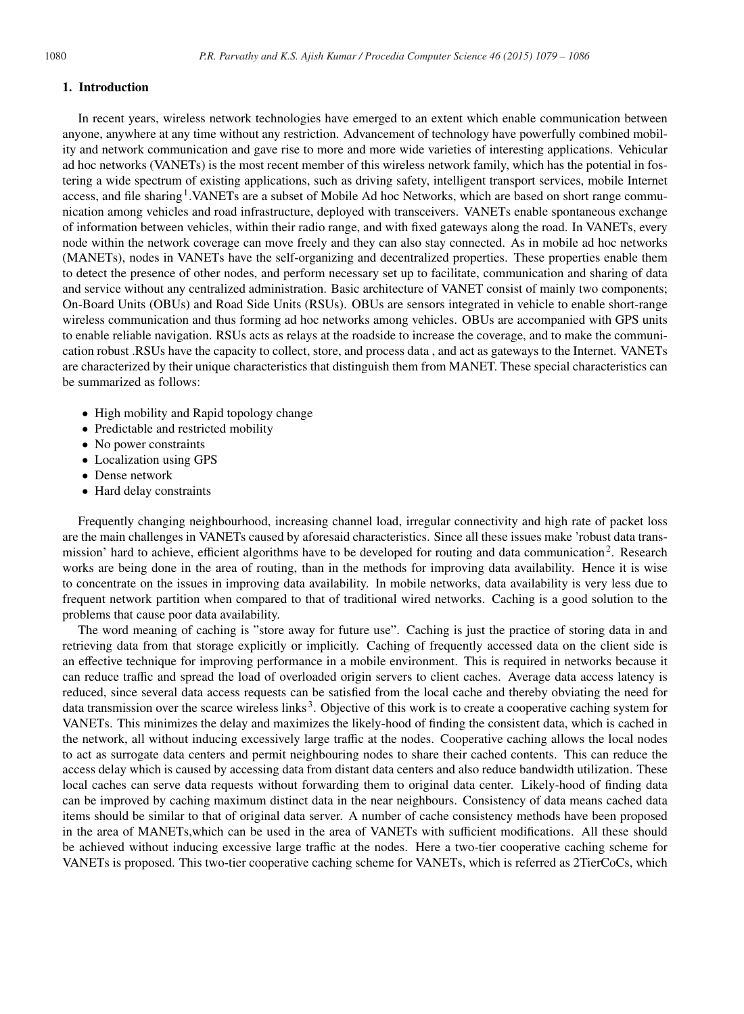#### 1. Introduction

In recent years, wireless network technologies have emerged to an extent which enable communication between anyone, anywhere at any time without any restriction. Advancement of technology have powerfully combined mobility and network communication and gave rise to more and more wide varieties of interesting applications. Vehicular ad hoc networks (VANETs) is the most recent member of this wireless network family, which has the potential in fostering a wide spectrum of existing applications, such as driving safety, intelligent transport services, mobile Internet access, and file sharing<sup>1</sup>.VANETs are a subset of Mobile Ad hoc Networks, which are based on short range communication among vehicles and road infrastructure, deployed with transceivers. VANETs enable spontaneous exchange of information between vehicles, within their radio range, and with fixed gateways along the road. In VANETs, every node within the network coverage can move freely and they can also stay connected. As in mobile ad hoc networks (MANETs), nodes in VANETs have the self-organizing and decentralized properties. These properties enable them to detect the presence of other nodes, and perform necessary set up to facilitate, communication and sharing of data and service without any centralized administration. Basic architecture of VANET consist of mainly two components; On-Board Units (OBUs) and Road Side Units (RSUs). OBUs are sensors integrated in vehicle to enable short-range wireless communication and thus forming ad hoc networks among vehicles. OBUs are accompanied with GPS units to enable reliable navigation. RSUs acts as relays at the roadside to increase the coverage, and to make the communication robust .RSUs have the capacity to collect, store, and process data , and act as gateways to the Internet. VANETs are characterized by their unique characteristics that distinguish them from MANET. These special characteristics can be summarized as follows:

- High mobility and Rapid topology change
- Predictable and restricted mobility
- No power constraints
- Localization using GPS
- Dense network
- Hard delay constraints

Frequently changing neighbourhood, increasing channel load, irregular connectivity and high rate of packet loss are the main challenges in VANETs caused by aforesaid characteristics. Since all these issues make 'robust data transmission' hard to achieve, efficient algorithms have to be developed for routing and data communication<sup>2</sup>. Research works are being done in the area of routing, than in the methods for improving data availability. Hence it is wise to concentrate on the issues in improving data availability. In mobile networks, data availability is very less due to frequent network partition when compared to that of traditional wired networks. Caching is a good solution to the problems that cause poor data availability.

The word meaning of caching is "store away for future use". Caching is just the practice of storing data in and retrieving data from that storage explicitly or implicitly. Caching of frequently accessed data on the client side is an effective technique for improving performance in a mobile environment. This is required in networks because it can reduce traffic and spread the load of overloaded origin servers to client caches. Average data access latency is reduced, since several data access requests can be satisfied from the local cache and thereby obviating the need for data transmission over the scarce wireless links 3. Objective of this work is to create a cooperative caching system for VANETs. This minimizes the delay and maximizes the likely-hood of finding the consistent data, which is cached in the network, all without inducing excessively large traffic at the nodes. Cooperative caching allows the local nodes to act as surrogate data centers and permit neighbouring nodes to share their cached contents. This can reduce the access delay which is caused by accessing data from distant data centers and also reduce bandwidth utilization. These local caches can serve data requests without forwarding them to original data center. Likely-hood of finding data can be improved by caching maximum distinct data in the near neighbours. Consistency of data means cached data items should be similar to that of original data server. A number of cache consistency methods have been proposed in the area of MANETs,which can be used in the area of VANETs with sufficient modifications. All these should be achieved without inducing excessive large traffic at the nodes. Here a two-tier cooperative caching scheme for VANETs is proposed. This two-tier cooperative caching scheme for VANETs, which is referred as 2TierCoCs, which